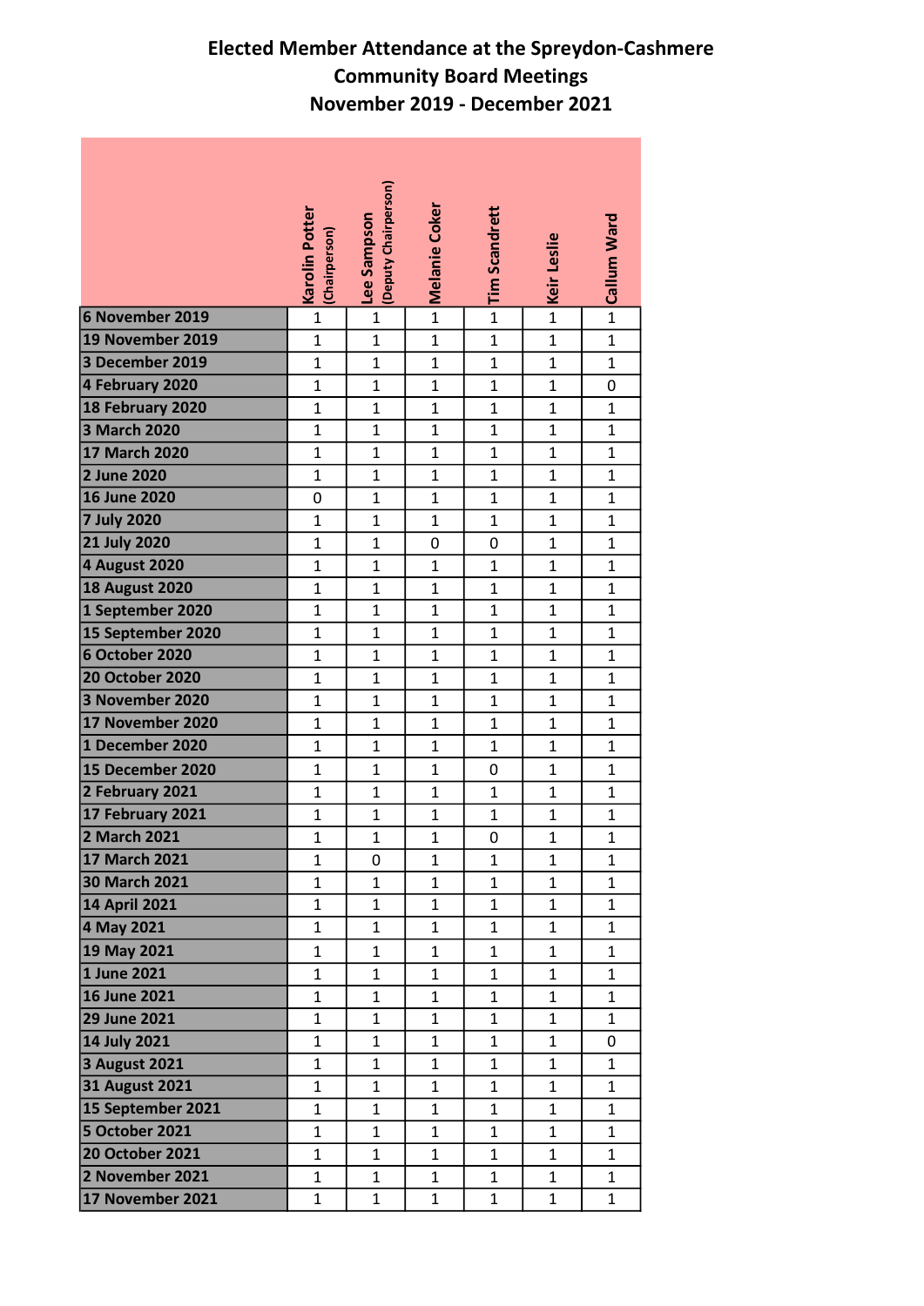## Elected Member Attendance at the Spreydon-Cashmere Community Board Meetings November 2019 - December 2021

|                         | <b>Karolin Potter</b><br>(Chairperson) | (Deputy Chairperson)<br>Lee Sampson | <b>Melanie Coker</b> | <b>Tim Scandrett</b> | Keir Leslie    | Callum Ward  |
|-------------------------|----------------------------------------|-------------------------------------|----------------------|----------------------|----------------|--------------|
| 6 November 2019         | $\mathbf{1}$                           | $\mathbf{1}$                        | $\mathbf{1}$         | $\overline{1}$       | $\overline{1}$ | $\mathbf{1}$ |
| <b>19 November 2019</b> | $\mathbf{1}$                           | $\mathbf{1}$                        | $\mathbf{1}$         | $\mathbf{1}$         | $\mathbf{1}$   | $\mathbf{1}$ |
| 3 December 2019         | $\mathbf{1}$                           | $\mathbf{1}$                        | $\mathbf{1}$         | $\mathbf 1$          | $\mathbf{1}$   | 1            |
| 4 February 2020         | $\mathbf 1$                            | $\mathbf{1}$                        | $\mathbf{1}$         | $\mathbf{1}$         | $\mathbf{1}$   | 0            |
| 18 February 2020        | $\mathbf{1}$                           | 1                                   | $\mathbf{1}$         | $\mathbf{1}$         | $\mathbf{1}$   | 1            |
| 3 March 2020            | $\mathbf{1}$                           | $\mathbf{1}$                        | $\mathbf{1}$         | $\mathbf 1$          | $\mathbf{1}$   | 1            |
| 17 March 2020           | $\mathbf{1}$                           | 1                                   | $\mathbf{1}$         | $\mathbf{1}$         | $\mathbf{1}$   | $\mathbf{1}$ |
| 2 June 2020             | $\mathbf 1$                            | $\mathbf{1}$                        | $\mathbf{1}$         | $\mathbf 1$          | $\mathbf{1}$   | 1            |
| 16 June 2020            | 0                                      | $\mathbf{1}$                        | $\mathbf 1$          | $\mathbf{1}$         | $\mathbf{1}$   | 1            |
| <b>7 July 2020</b>      | $\mathbf 1$                            | $\mathbf{1}$                        | $\mathbf{1}$         | $\mathbf{1}$         | $\mathbf{1}$   | $\mathbf{1}$ |
| <b>21 July 2020</b>     | $\mathbf{1}$                           | $\mathbf{1}$                        | $\pmb{0}$            | $\pmb{0}$            | $\mathbf{1}$   | $\mathbf 1$  |
| 4 August 2020           | $\mathbf{1}$                           | $\mathbf{1}$                        | $\mathbf{1}$         | $\mathbf{1}$         | $\mathbf{1}$   | $\mathbf{1}$ |
| <b>18 August 2020</b>   | $\mathbf{1}$                           | $\mathbf{1}$                        | $\mathbf{1}$         | $\mathbf{1}$         | $\mathbf{1}$   | 1            |
| 1 September 2020        | $\mathbf 1$                            | $\mathbf{1}$                        | $\mathbf 1$          | $\mathbf{1}$         | $\mathbf{1}$   | 1            |
| 15 September 2020       | $\mathbf 1$                            | $\mathbf{1}$                        | $\mathbf{1}$         | $\mathbf{1}$         | $\mathbf{1}$   | 1            |
| 6 October 2020          | $\mathbf{1}$                           | $\mathbf{1}$                        | $\mathbf{1}$         | $\mathbf{1}$         | $\mathbf{1}$   | $\mathbf 1$  |
| <b>20 October 2020</b>  | $\mathbf 1$                            | $\mathbf{1}$                        | $\mathbf{1}$         | $\mathbf{1}$         | $\mathbf{1}$   | $\mathbf 1$  |
| 3 November 2020         | $\mathbf{1}$                           | $\mathbf{1}$                        | $\mathbf{1}$         | $\mathbf{1}$         | $\mathbf{1}$   | 1            |
| 17 November 2020        | $\mathbf{1}$                           | $\mathbf{1}$                        | $\mathbf 1$          | $\mathbf{1}$         | $\mathbf{1}$   | $\mathbf{1}$ |
| 1 December 2020         | $\mathbf 1$                            | $\mathbf{1}$                        | $\mathbf{1}$         | $\mathbf{1}$         | $\mathbf{1}$   | 1            |
| 15 December 2020        | $\mathbf{1}$                           | $\mathbf{1}$                        | $\mathbf{1}$         | $\pmb{0}$            | $\mathbf{1}$   | $\mathbf{1}$ |
| 2 February 2021         | $\mathbf 1$                            | $\mathbf 1$                         | $\mathbf{1}$         | $\mathbf 1$          | $\mathbf{1}$   | 1            |
| 17 February 2021        | $\mathbf{1}$                           | $\mathbf{1}$                        | $\mathbf{1}$         | $\mathbf{1}$         | $\mathbf{1}$   | $\mathbf{1}$ |
| 2 March 2021            | $\mathbf{1}$                           | $\mathbf{1}$                        | $\mathbf 1$          | 0                    | $\mathbf{1}$   | 1            |
| 17 March 2021           | $\mathbf 1$                            | $\mathbf 0$                         | $\mathbf 1$          | $\mathbf{1}$         | $\mathbf{1}$   | 1            |
| <b>30 March 2021</b>    | $\mathbf{1}$                           | $\mathbf{1}$                        | $\mathbf{1}$         | $\mathbf{1}$         | $\mathbf{1}$   | $\mathbf{1}$ |
| <b>14 April 2021</b>    | 1                                      | $\mathbf{1}$                        | $\mathbf{1}$         | $\mathbf{1}$         | $\mathbf{1}$   | 1            |
| 4 May 2021              | $\mathbf{1}$                           | 1                                   | $\mathbf{1}$         | $\mathbf{1}$         | $\mathbf{1}$   | $\mathbf{1}$ |
| 19 May 2021             | $\mathbf{1}$                           | $\mathbf{1}$                        | $\mathbf{1}$         | $\mathbf{1}$         | $\mathbf{1}$   | 1            |
| 1 June 2021             | $\mathbf{1}$                           | 1                                   | $\mathbf{1}$         | $\mathbf{1}$         | $\mathbf{1}$   | $\mathbf{1}$ |
| 16 June 2021            | $\mathbf{1}$                           | $\mathbf{1}$                        | $\mathbf{1}$         | $\mathbf{1}$         | $\mathbf{1}$   | 1            |
| 29 June 2021            | $\mathbf{1}$                           | $\mathbf{1}$                        | $\mathbf{1}$         | $\mathbf{1}$         | $\mathbf{1}$   | $\mathbf{1}$ |
| 14 July 2021            | $\mathbf 1$                            | $\mathbf{1}$                        | $\mathbf{1}$         | $\mathbf{1}$         | $\mathbf 1$    | 0            |
| 3 August 2021           | $\mathbf{1}$                           | $\mathbf{1}$                        | $\mathbf{1}$         | $\mathbf{1}$         | $\mathbf{1}$   | 1            |
| 31 August 2021          | $\mathbf{1}$                           | $\mathbf{1}$                        | $\mathbf{1}$         | $\mathbf{1}$         | $\mathbf{1}$   | $\mathbf{1}$ |
| 15 September 2021       | $\mathbf{1}$                           | 1                                   | $\mathbf{1}$         | $\mathbf{1}$         | $\mathbf{1}$   | 1            |
| 5 October 2021          | $\mathbf{1}$                           | 1                                   | $\mathbf{1}$         | $\mathbf{1}$         | $\mathbf{1}$   | $\mathbf{1}$ |
| <b>20 October 2021</b>  | $\mathbf 1$                            | $\mathbf{1}$                        | $\mathbf{1}$         | $\mathbf 1$          | $\mathbf{1}$   | $\mathbf{1}$ |
| 2 November 2021         | $\mathbf{1}$                           | $\mathbf{1}$                        | $\mathbf{1}$         | $\mathbf{1}$         | $\mathbf{1}$   | 1            |
| 17 November 2021        | $\mathbf{1}$                           | $\mathbf 1$                         | $\mathbf{1}$         | $\mathbf{1}$         | $\mathbf 1$    | $\mathbf{1}$ |